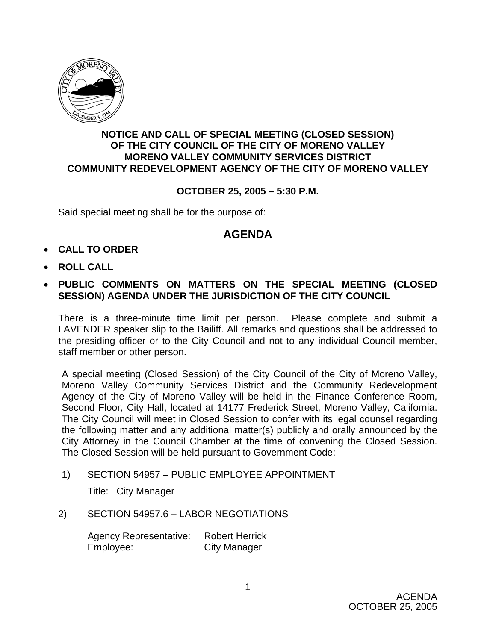

## **NOTICE AND CALL OF SPECIAL MEETING (CLOSED SESSION) OF THE CITY COUNCIL OF THE CITY OF MORENO VALLEY MORENO VALLEY COMMUNITY SERVICES DISTRICT COMMUNITY REDEVELOPMENT AGENCY OF THE CITY OF MORENO VALLEY**

## **OCTOBER 25, 2005 – 5:30 P.M.**

Said special meeting shall be for the purpose of:

## **AGENDA**

- **CALL TO ORDER**
- **ROLL CALL**
- **PUBLIC COMMENTS ON MATTERS ON THE SPECIAL MEETING (CLOSED SESSION) AGENDA UNDER THE JURISDICTION OF THE CITY COUNCIL**

There is a three-minute time limit per person. Please complete and submit a LAVENDER speaker slip to the Bailiff. All remarks and questions shall be addressed to the presiding officer or to the City Council and not to any individual Council member, staff member or other person.

A special meeting (Closed Session) of the City Council of the City of Moreno Valley, Moreno Valley Community Services District and the Community Redevelopment Agency of the City of Moreno Valley will be held in the Finance Conference Room, Second Floor, City Hall, located at 14177 Frederick Street, Moreno Valley, California. The City Council will meet in Closed Session to confer with its legal counsel regarding the following matter and any additional matter(s) publicly and orally announced by the City Attorney in the Council Chamber at the time of convening the Closed Session. The Closed Session will be held pursuant to Government Code:

1) SECTION 54957 – PUBLIC EMPLOYEE APPOINTMENT

Title: City Manager

2) SECTION 54957.6 – LABOR NEGOTIATIONS

 Agency Representative: Robert Herrick Employee: City Manager